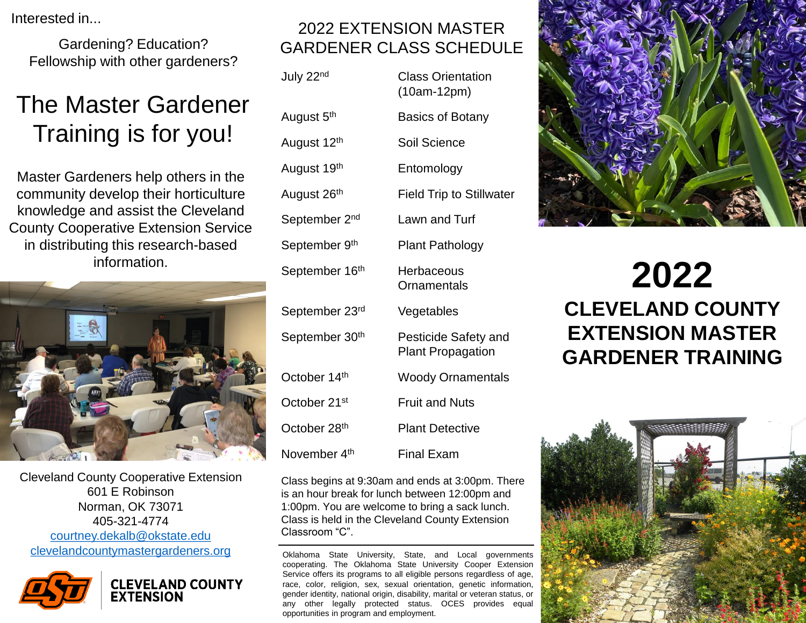Interested in...

Gardening? Education? Fellowship with other gardeners?

# The Master Gardener Training is for you!

Master Gardeners help others in the community develop their horticulture knowledge and assist the Cleveland County Cooperative Extension Service in distributing this research-based information.



Cleveland County Cooperative Extension 601 E Robinson Norman, OK 73071 405-321-4774 [courtney.dekalb@okstate.edu](mailto:courtney.dekalb@okstate.edu) <clevelandcountymastergardeners.org> **Oklahoma State University, State, and Local governments** 



#### 2022 EXTENSION MASTER GARDENER CLASS SCHEDULE

| July 22 <sup>nd</sup>      | <b>Class Orientation</b><br>$(10am-12pm)$        |
|----------------------------|--------------------------------------------------|
| August 5 <sup>th</sup>     | <b>Basics of Botany</b>                          |
| August 12 <sup>th</sup>    | Soil Science                                     |
| August 19 <sup>th</sup>    | Entomology                                       |
| August 26 <sup>th</sup>    | <b>Field Trip to Stillwater</b>                  |
| September 2 <sup>nd</sup>  | Lawn and Turf                                    |
| September 9 <sup>th</sup>  | <b>Plant Pathology</b>                           |
| September 16 <sup>th</sup> | Herbaceous<br>Ornamentals                        |
| September 23rd             | Vegetables                                       |
| September 30 <sup>th</sup> | Pesticide Safety and<br><b>Plant Propagation</b> |
| October 14 <sup>th</sup>   | <b>Woody Ornamentals</b>                         |
| October 21st               | <b>Fruit and Nuts</b>                            |
| October 28 <sup>th</sup>   | <b>Plant Detective</b>                           |
| November 4 <sup>th</sup>   | <b>Final Exam</b>                                |

Class begins at 9:30am and ends at 3:00pm. There is an hour break for lunch between 12:00pm and 1:00pm. You are welcome to bring a sack lunch. Class is held in the Cleveland County Extension Classroom "C".

cooperating. The Oklahoma State University Cooper Extension Service offers its programs to all eligible persons regardless of age, race, color, religion, sex, sexual orientation, genetic information, gender identity, national origin, disability, marital or veteran status, or any other legally protected status. OCES provides equal opportunities in program and employment.



# **2022 CLEVELAND COUNTY EXTENSION MASTER GARDENER TRAINING**